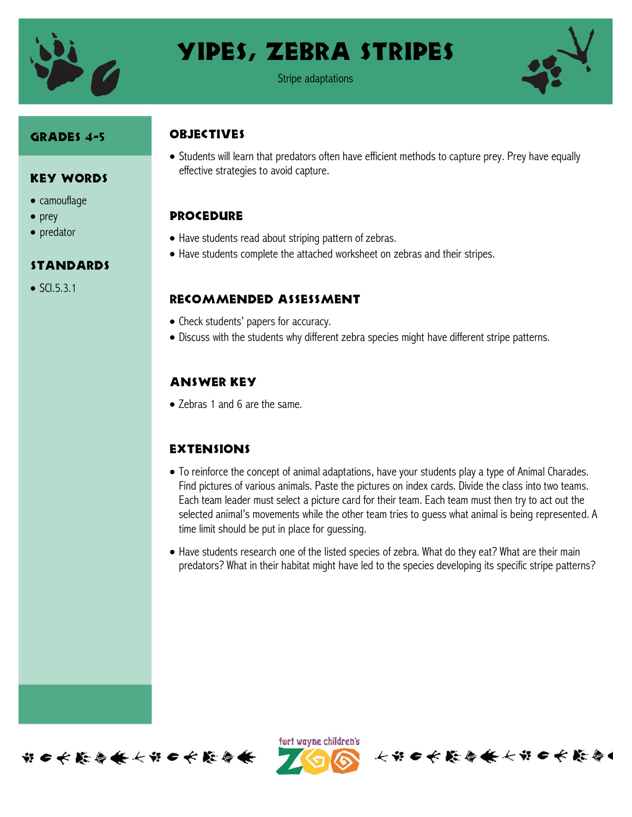

## Yipes, Zebra Stripes

Stripe adaptations



#### Grades 4-5

Key Words

standards

 $\bullet$  SCI.5.3.1

• camouflage

 $\bullet$  prey • predator

#### **OBJECTIVES**

 Students will learn that predators often have efficient methods to capture prey. Prey have equally effective strategies to avoid capture.

### **PROCEDURE**

- Have students read about striping pattern of zebras.
- Have students complete the attached worksheet on zebras and their stripes.

#### Recommended assessment

- Check students' papers for accuracy.
- Discuss with the students why different zebra species might have different stripe patterns.

## Answer Key

• Zebras 1 and 6 are the same.

#### **EXTENSIONS**

- To reinforce the concept of animal adaptations, have your students play a type of Animal Charades. Find pictures of various animals. Paste the pictures on index cards. Divide the class into two teams. Each team leader must select a picture card for their team. Each team must then try to act out the selected animal's movements while the other team tries to guess what animal is being represented. A time limit should be put in place for guessing.
- Have students research one of the listed species of zebra. What do they eat? What are their main predators? What in their habitat might have led to the species developing its specific stripe patterns?



ført wayne children's

长节6长能与长长节6长能与1